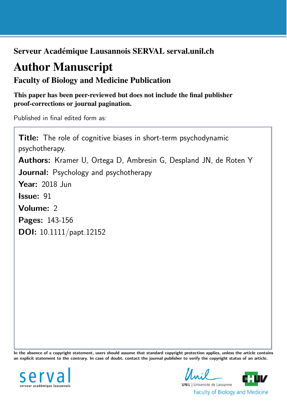Serveur Académique Lausannois SERVAL serval.unil.ch

# Author Manuscript

Faculty of Biology and Medicine Publication

This paper has been peer-reviewed but does not include the final publisher proof-corrections or journal pagination.

Published in final edited form as:

Title: The role of cognitive biases in short-term psychodynamic psychotherapy. Authors: Kramer U, Ortega D, Ambresin G, Despland JN, de Roten Y Journal: Psychology and psychotherapy Year: 2018 Jun Issue: 91 Volume: 2 Pages: 143-156 DOI: [10.1111/papt.12152](http://dx.doi.org/10.1111/papt.12152)

In the absence of a copyright statement, users should assume that standard copyright protection applies, unless the article contains an explicit statement to the contrary. In case of doubt, contact the journal publisher to verify the copyright status of an article.



**UNIL** | Université de Lausanne **Faculty of Biology and Medicine**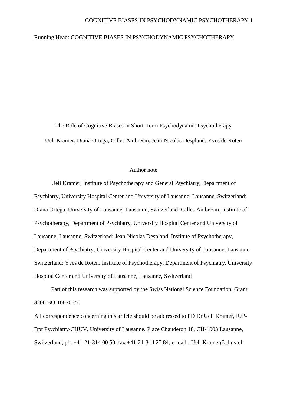#### COGNITIVE BIASES IN PSYCHODYNAMIC PSYCHOTHERAPY 1

#### Running Head: COGNITIVE BIASES IN PSYCHODYNAMIC PSYCHOTHERAPY

The Role of Cognitive Biases in Short-Term Psychodynamic Psychotherapy Ueli Kramer, Diana Ortega, Gilles Ambresin, Jean-Nicolas Despland, Yves de Roten

#### Author note

Ueli Kramer, Institute of Psychotherapy and General Psychiatry, Department of Psychiatry, University Hospital Center and University of Lausanne, Lausanne, Switzerland; Diana Ortega, University of Lausanne, Lausanne, Switzerland; Gilles Ambresin, Institute of Psychotherapy, Department of Psychiatry, University Hospital Center and University of Lausanne, Lausanne, Switzerland; Jean-Nicolas Despland, Institute of Psychotherapy, Department of Psychiatry, University Hospital Center and University of Lausanne, Lausanne, Switzerland; Yves de Roten, Institute of Psychotherapy, Department of Psychiatry, University Hospital Center and University of Lausanne, Lausanne, Switzerland

Part of this research was supported by the Swiss National Science Foundation, Grant 3200 BO-100706/7.

All correspondence concerning this article should be addressed to PD Dr Ueli Kramer, IUP-Dpt Psychiatry-CHUV, University of Lausanne, Place Chauderon 18, CH-1003 Lausanne, Switzerland, ph. +41-21-314 00 50, fax +41-21-314 27 84; e-mail : Ueli.Kramer@chuv.ch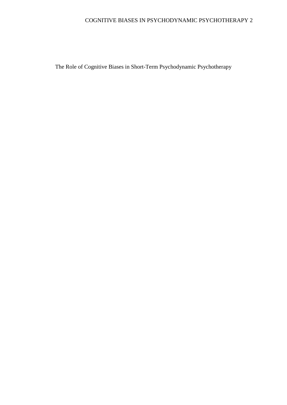# COGNITIVE BIASES IN PSYCHODYNAMIC PSYCHOTHERAPY 2

The Role of Cognitive Biases in Short-Term Psychodynamic Psychotherapy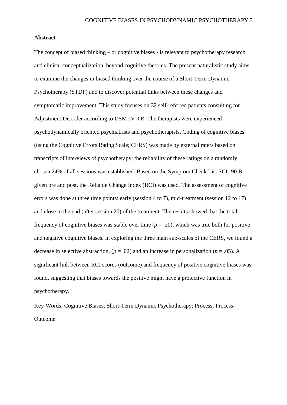#### **Abstract**

The concept of biased thinking – or cognitive biases - is relevant to psychotherapy research and clinical conceptualization, beyond cognitive theories. The present naturalistic study aims to examine the changes in biased thinking over the course of a Short-Term Dynamic Psychotherapy (STDP) and to discover potential links between these changes and symptomatic improvement. This study focuses on 32 self-referred patients consulting for Adjustment Disorder according to DSM-IV-TR. The therapists were experienced psychodynamically oriented psychiatrists and psychotherapists. Coding of cognitive biases (using the Cognitive Errors Rating Scale; CERS) was made by external raters based on transcripts of interviews of psychotherapy; the reliability of these ratings on a randomly chosen 24% of all sessions was established. Based on the Symptom Check List SCL-90-R given pre and post, the Reliable Change Index (RCI) was used. The assessment of cognitive errors was done at three time points: early (session 4 to 7), mid-treatment (session 12 to 17) and close to the end (after session 20) of the treatment. The results showed that the total frequency of cognitive biases was stable over time  $(p = .20)$ , which was true both for positive and negative cognitive biases. In exploring the three main sub-scales of the CERS, we found a decrease in selective abstraction,  $(p = .02)$  and an increase in personalization  $(p = .05)$ . A significant link between RCI scores (outcome) and frequency of positive cognitive biases was found, suggesting that biases towards the positive might have a protective function in psychotherapy.

Key-Words: Cognitive Biases; Short-Term Dynamic Psychotherapy; Process; Process-Outcome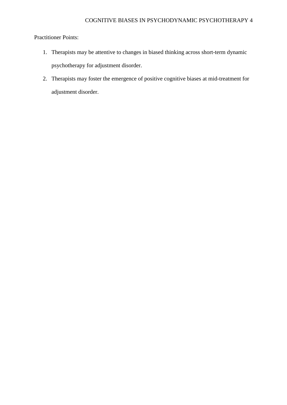### Practitioner Points:

- 1. Therapists may be attentive to changes in biased thinking across short-term dynamic psychotherapy for adjustment disorder.
- 2. Therapists may foster the emergence of positive cognitive biases at mid-treatment for adjustment disorder.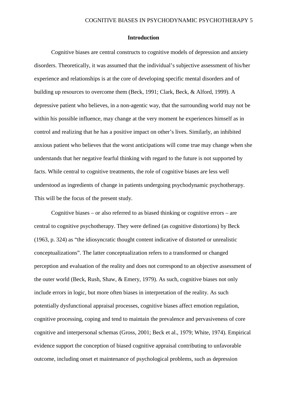#### **Introduction**

Cognitive biases are central constructs to cognitive models of depression and anxiety disorders. Theoretically, it was assumed that the individual's subjective assessment of his/her experience and relationships is at the core of developing specific mental disorders and of building up resources to overcome them (Beck, 1991; Clark, Beck, & Alford, 1999). A depressive patient who believes, in a non-agentic way, that the surrounding world may not be within his possible influence, may change at the very moment he experiences himself as in control and realizing that he has a positive impact on other's lives. Similarly, an inhibited anxious patient who believes that the worst anticipations will come true may change when she understands that her negative fearful thinking with regard to the future is not supported by facts. While central to cognitive treatments, the role of cognitive biases are less well understood as ingredients of change in patients undergoing psychodynamic psychotherapy. This will be the focus of the present study.

Cognitive biases – or also referred to as biased thinking or cognitive errors – are central to cognitive psychotherapy. They were defined (as cognitive distortions) by Beck (1963, p. 324) as "the idiosyncratic thought content indicative of distorted or unrealistic conceptualizations". The latter conceptualization refers to a transformed or changed perception and evaluation of the reality and does not correspond to an objective assessment of the outer world (Beck, Rush, Shaw, & Emery, 1979). As such, cognitive biases not only include errors in logic, but more often biases in interpretation of the reality. As such potentially dysfunctional appraisal processes, cognitive biases affect emotion regulation, cognitive processing, coping and tend to maintain the prevalence and pervasiveness of core cognitive and interpersonal schemas (Gross, 2001; Beck et al., 1979; White, 1974). Empirical evidence support the conception of biased cognitive appraisal contributing to unfavorable outcome, including onset et maintenance of psychological problems, such as depression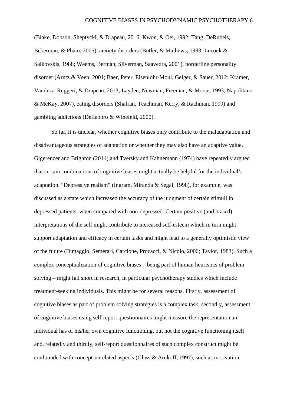#### COGNITIVE BIASES IN PSYCHODYNAMIC PSYCHOTHERAPY 6

(Blake, Dobson, Sheptycki, & Drapeau, 2016; Kwon, & Oei, 1992; Tang, DeRubeis, Beberman, & Pham, 2005), anxiety disorders (Butler, & Mathews, 1983; Lucock & Salkovskis, 1988; Weems, Berman, Silverman, Saavedra, 2001), borderline personality disorder (Arntz & Veen, 2001; Baer, Peter, Eisenlohr-Moul, Geiger, & Sauer, 2012; Kramer, Vaudroz, Ruggeri, & Drapeau, 2013; Layden, Newman, Freeman, & Morse, 1993; Napolitano & McKay, 2007), eating disorders (Shafran, Teachman, Kerry, & Rachman, 1999) and gambling addictions (Delfabbro & Winefeld, 2000).

So far, it is unclear, whether cognitive biases only contribute to the maladaptation and disadvantageous strategies of adaptation or whether they may also have an adaptive value. Gigerenzer and Brighton (2011) and Tversky and Kahnemann (1974) have repeatedly argued that certain combinations of cognitive biases might actually be helpful for the individual's adaptation. "Depressive realism" (Ingram, Miranda & Segal, 1998), for example, was discussed as a state which increased the accuracy of the judgment of certain stimuli in depressed patients, when compared with non-depressed. Certain positive (and biased) interpretations of the self might contribute to increased self-esteem which in turn might support adaptation and efficacy in certain tasks and might lead to a generally optimistic view of the future (Dimaggio, Semerari, Carcione, Procacci, & Nicolo, 2006; Taylor, 1983). Such a complex conceptualization of cognitive biases – being part of human heuristics of problem solving – might fall short in research, in particular psychotherapy studies which include treatment-seeking individuals. This might be for several reasons. Firstly, assessment of cognitive biases as part of problem solving strategies is a complex task; secondly, assessment of cognitive biases using self-report questionnaires might measure the representation an individual has of his/her own cognitive functioning, but not the cognitive functioning itself and, relatedly and thirdly, self-report questionnaires of such complex construct might be confounded with concept-unrelated aspects (Glass & Arnkoff, 1997), such as motivation,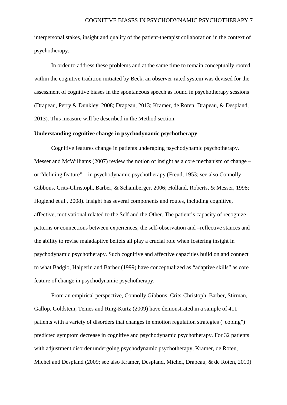interpersonal stakes, insight and quality of the patient-therapist collaboration in the context of psychotherapy.

In order to address these problems and at the same time to remain conceptually rooted within the cognitive tradition initiated by Beck, an observer-rated system was devised for the assessment of cognitive biases in the spontaneous speech as found in psychotherapy sessions (Drapeau, Perry & Dunkley, 2008; Drapeau, 2013; Kramer, de Roten, Drapeau, & Despland, 2013). This measure will be described in the Method section.

#### **Understanding cognitive change in psychodynamic psychotherapy**

Cognitive features change in patients undergoing psychodynamic psychotherapy. Messer and McWilliams (2007) review the notion of insight as a core mechanism of change – or "defining feature" – in psychodynamic psychotherapy (Freud, 1953; see also Connolly Gibbons, Crits-Christoph, Barber, & Schamberger, 2006; Holland, Roberts, & Messer, 1998; Hoglend et al., 2008). Insight has several components and routes, including cognitive, affective, motivational related to the Self and the Other. The patient's capacity of recognize patterns or connections between experiences, the self-observation and –reflective stances and the ability to revise maladaptive beliefs all play a crucial role when fostering insight in psychodynamic psychotherapy. Such cognitive and affective capacities build on and connect to what Badgio, Halperin and Barber (1999) have conceptualized as "adaptive skills" as core feature of change in psychodynamic psychotherapy.

From an empirical perspective, Connolly Gibbons, Crits-Christoph, Barber, Stirman, Gallop, Goldstein, Temes and Ring-Kurtz (2009) have demonstrated in a sample of 411 patients with a variety of disorders that changes in emotion regulation strategies ("coping") predicted symptom decrease in cognitive and psychodynamic psychotherapy. For 32 patients with adjustment disorder undergoing psychodynamic psychotherapy, Kramer, de Roten, Michel and Despland (2009; see also Kramer, Despland, Michel, Drapeau, & de Roten, 2010)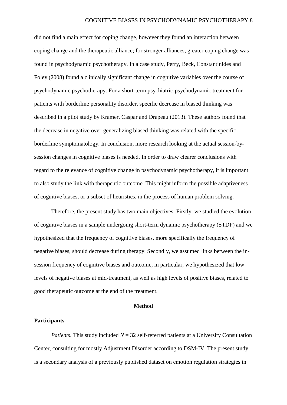did not find a main effect for coping change, however they found an interaction between coping change and the therapeutic alliance; for stronger alliances, greater coping change was found in psychodynamic psychotherapy. In a case study, Perry, Beck, Constantinides and Foley (2008) found a clinically significant change in cognitive variables over the course of psychodynamic psychotherapy. For a short-term psychiatric-psychodynamic treatment for patients with borderline personality disorder, specific decrease in biased thinking was described in a pilot study by Kramer, Caspar and Drapeau (2013). These authors found that the decrease in negative over-generalizing biased thinking was related with the specific borderline symptomatology. In conclusion, more research looking at the actual session-bysession changes in cognitive biases is needed. In order to draw clearer conclusions with regard to the relevance of cognitive change in psychodynamic psychotherapy, it is important to also study the link with therapeutic outcome. This might inform the possible adaptiveness of cognitive biases, or a subset of heuristics, in the process of human problem solving.

Therefore, the present study has two main objectives: Firstly, we studied the evolution of cognitive biases in a sample undergoing short-term dynamic psychotherapy (STDP) and we hypothesized that the frequency of cognitive biases, more specifically the frequency of negative biases, should decrease during therapy. Secondly, we assumed links between the insession frequency of cognitive biases and outcome, in particular, we hypothesized that low levels of negative biases at mid-treatment, as well as high levels of positive biases, related to good therapeutic outcome at the end of the treatment.

#### **Method**

#### **Participants**

*Patients.* This study included  $N = 32$  self-referred patients at a University Consultation Center, consulting for mostly Adjustment Disorder according to DSM-IV. The present study is a secondary analysis of a previously published dataset on emotion regulation strategies in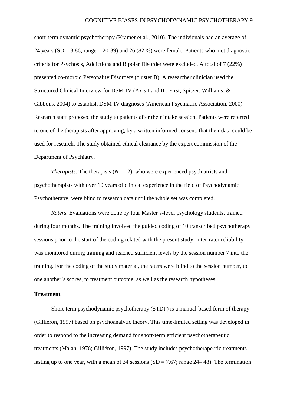short-term dynamic psychotherapy (Kramer et al., 2010). The individuals had an average of 24 years (SD = 3.86; range = 20-39) and 26 (82 %) were female. Patients who met diagnostic criteria for Psychosis, Addictions and Bipolar Disorder were excluded. A total of 7 (22%) presented co-morbid Personality Disorders (cluster B). A researcher clinician used the Structured Clinical Interview for DSM-IV (Axis I and II ; First, Spitzer, Williams, & Gibbons, 2004) to establish DSM-IV diagnoses (American Psychiatric Association, 2000). Research staff proposed the study to patients after their intake session. Patients were referred to one of the therapists after approving, by a written informed consent, that their data could be used for research. The study obtained ethical clearance by the expert commission of the Department of Psychiatry.

*Therapists.* The therapists ( $N = 12$ ), who were experienced psychiatrists and psychotherapists with over 10 years of clinical experience in the field of Psychodynamic Psychotherapy, were blind to research data until the whole set was completed.

*Raters.* Evaluations were done by four Master's-level psychology students, trained during four months. The training involved the guided coding of 10 transcribed psychotherapy sessions prior to the start of the coding related with the present study. Inter-rater reliability was monitored during training and reached sufficient levels by the session number 7 into the training. For the coding of the study material, the raters were blind to the session number, to one another's scores, to treatment outcome, as well as the research hypotheses.

#### **Treatment**

Short-term psychodynamic psychotherapy (STDP) is a manual-based form of therapy (Gilliéron, 1997) based on psychoanalytic theory. This time-limited setting was developed in order to respond to the increasing demand for short-term efficient psychotherapeutic treatments (Malan, 1976; Gilliéron, 1997). The study includes psychotherapeutic treatments lasting up to one year, with a mean of 34 sessions  $(SD = 7.67$ ; range 24–48). The termination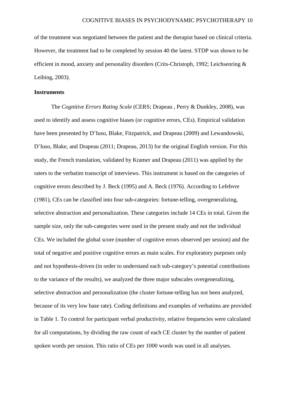of the treatment was negotiated between the patient and the therapist based on clinical criteria. However, the treatment had to be completed by session 40 the latest. STDP was shown to be efficient in mood, anxiety and personality disorders (Crits-Christoph, 1992; Leichsenring & Leibing, 2003).

#### **Instruments**

The *Cognitive Errors Rating Scale* (CERS; Drapeau , Perry & Dunkley, 2008), was used to identify and assess cognitive biases (or cognitive errors, CEs). Empirical validation have been presented by D'Iuso, Blake, Fitzpatrick, and Drapeau (2009) and Lewandowski, D'Iuso, Blake, and Drapeau (2011; Drapeau, 2013) for the original English version. For this study, the French translation, validated by Kramer and Drapeau (2011) was applied by the raters to the verbatim transcript of interviews. This instrument is based on the categories of cognitive errors described by J. Beck (1995) and A. Beck (1976). According to Lefebvre (1981), CEs can be classified into four sub-categories: fortune-telling, overgeneralizing, selective abstraction and personalization. These categories include 14 CEs in total. Given the sample size, only the sub-categories were used in the present study and not the individual CEs. We included the global score (number of cognitive errors observed per session) and the total of negative and positive cognitive errors as main scales. For exploratory purposes only and not hypothesis-driven (in order to understand each sub-category's potential contributions to the variance of the results), we analyzed the three major subscales overgeneralizing, selective abstraction and personalization (the cluster fortune-telling has not been analyzed, because of its very low base rate). Coding definitions and examples of verbatims are provided in Table 1. To control for participant verbal productivity, relative frequencies were calculated for all computations, by dividing the raw count of each CE cluster by the number of patient spoken words per session. This ratio of CEs per 1000 words was used in all analyses.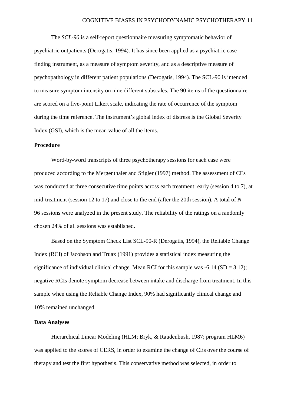The *SCL-90* is a self-report questionnaire measuring symptomatic behavior of psychiatric outpatients (Derogatis, 1994). It has since been applied as a psychiatric casefinding instrument, as a measure of symptom severity, and as a descriptive measure of psychopathology in different patient populations (Derogatis, 1994). The SCL-90 is intended to measure symptom intensity on nine different subscales. The 90 items of the questionnaire are scored on a five-point Likert scale, indicating the rate of occurrence of the symptom during the time reference. The instrument's global index of distress is the Global Severity Index (GSI), which is the mean value of all the items.

#### **Procedure**

Word-by-word transcripts of three psychotherapy sessions for each case were produced according to the Mergenthaler and Stigler (1997) method. The assessment of CEs was conducted at three consecutive time points across each treatment: early (session 4 to 7), at mid-treatment (session 12 to 17) and close to the end (after the 20th session). A total of  $N =$ 96 sessions were analyzed in the present study. The reliability of the ratings on a randomly chosen 24% of all sessions was established.

Based on the Symptom Check List SCL-90-R (Derogatis, 1994), the Reliable Change Index (RCI) of Jacobson and Truax (1991) provides a statistical index measuring the significance of individual clinical change. Mean RCI for this sample was  $-6.14$  (SD = 3.12); negative RCIs denote symptom decrease between intake and discharge from treatment. In this sample when using the Reliable Change Index, 90% had significantly clinical change and 10% remained unchanged.

#### **Data Analyses**

Hierarchical Linear Modeling (HLM; Bryk, & Raudenbush, 1987; program HLM6) was applied to the scores of CERS, in order to examine the change of CEs over the course of therapy and test the first hypothesis. This conservative method was selected, in order to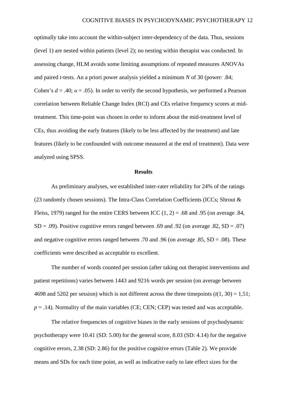optimally take into account the within-subject inter-dependency of the data. Thus, sessions (level 1) are nested within patients (level 2); no nesting within therapist was conducted. In assessing change, HLM avoids some limiting assumptions of repeated measures ANOVAs and paired *t*-tests. An a priori power analysis yielded a minimum *N* of 30 (power: .84; Cohen's  $d = .40$ ;  $\alpha = .05$ ). In order to verify the second hypothesis, we performed a Pearson correlation between Reliable Change Index (RCI) and CEs relative frequency scores at midtreatment. This time-point was chosen in order to inform about the mid-treatment level of CEs, thus avoiding the early features (likely to be less affected by the treatment) and late features (likely to be confounded with outcome measured at the end of treatment). Data were analyzed using SPSS.

#### **Results**

As preliminary analyses, we established inter-rater reliability for 24% of the ratings (23 randomly chosen sessions). The Intra-Class Correlation Coefficients (ICCs; Shrout  $\&$ Fleiss, 1979) ranged for the entire CERS between ICC  $(1, 2) = .68$  and 0.95 (on average 0.84,  $SD = .09$ ). Positive cognitive errors ranged between .69 and .92 (on average .82,  $SD = .07$ ) and negative cognitive errors ranged between .70 and .96 (on average .85,  $SD = .08$ ). These coefficients were described as acceptable to excellent.

The number of words counted per session (after taking out therapist interventions and patient repetitions) varies between 1443 and 9216 words per session (on average between 4698 and 5202 per session) which is not different across the three timepoints  $(t(1, 30) = 1.51$ ;  $p = .14$ ). Normality of the main variables (CE; CEN; CEP) was tested and was acceptable.

The relative frequencies of cognitive biases in the early sessions of psychodynamic psychotherapy were 10.41 (SD: 5.00) for the general score, 8.03 (SD: 4.14) for the negative cognitive errors, 2.38 (SD: 2.86) for the positive cognitive errors (Table 2). We provide means and SDs for each time point, as well as indicative early to late effect sizes for the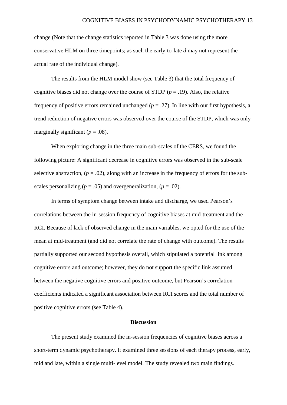change (Note that the change statistics reported in Table 3 was done using the more conservative HLM on three timepoints; as such the early-to-late *d* may not represent the actual rate of the individual change).

The results from the HLM model show (see Table 3) that the total frequency of cognitive biases did not change over the course of STDP  $(p = .19)$ . Also, the relative frequency of positive errors remained unchanged  $(p = .27)$ . In line with our first hypothesis, a trend reduction of negative errors was observed over the course of the STDP, which was only marginally significant ( $p = .08$ ).

When exploring change in the three main sub-scales of the CERS, we found the following picture: A significant decrease in cognitive errors was observed in the sub-scale selective abstraction,  $(p = .02)$ , along with an increase in the frequency of errors for the subscales personalizing ( $p = .05$ ) and overgeneralization, ( $p = .02$ ).

In terms of symptom change between intake and discharge, we used Pearson's correlations between the in-session frequency of cognitive biases at mid-treatment and the RCI. Because of lack of observed change in the main variables, we opted for the use of the mean at mid-treatment (and did not correlate the rate of change with outcome). The results partially supported our second hypothesis overall, which stipulated a potential link among cognitive errors and outcome; however, they do not support the specific link assumed between the negative cognitive errors and positive outcome, but Pearson's correlation coefficients indicated a significant association between RCI scores and the total number of positive cognitive errors (see Table 4).

#### **Discussion**

The present study examined the in-session frequencies of cognitive biases across a short-term dynamic psychotherapy. It examined three sessions of each therapy process, early, mid and late, within a single multi-level model. The study revealed two main findings.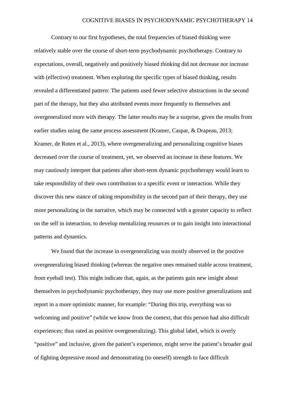Contrary to our first hypotheses, the total frequencies of biased thinking were relatively stable over the course of short-term psychodynamic psychotherapy. Contrary to expectations, overall, negatively and positively biased thinking did not decrease nor increase with (effective) treatment. When exploring the specific types of biased thinking, results revealed a differentiated pattern: The patients used fewer selective abstractions in the second part of the therapy, but they also attributed events more frequently to themselves and overgeneralized more with therapy. The latter results may be a surprise, given the results from earlier studies using the same process assessment (Kramer, Caspar, & Drapeau, 2013; Kramer, de Roten et al., 2013), where overgeneralizing and personalizing cognitive biases decreased over the course of treatment, yet, we observed an increase in these features. We may cautiously interpret that patients after short-term dynamic psychotherapy would learn to take responsibility of their own contribution to a specific event or interaction. While they discover this new stance of taking responsibility in the second part of their therapy, they use more personalizing in the narrative, which may be connected with a greater capacity to reflect on the self in interaction, to develop mentalizing resources or to gain insight into interactional patterns and dynamics.

We found that the increase in overgeneralizing was mostly observed in the positive overgeneralizing biased thinking (whereas the negative ones remained stable across treatment, from eyeball test). This might indicate that, again, as the patients gain new insight about themselves in psychodynamic psychotherapy, they may use more positive generalizations and report in a more optimistic manner, for example: "During this trip, everything was so welcoming and positive" (while we know from the context, that this person had also difficult experiences; thus rated as positive overgeneralizing). This global label, which is overly "positive" and inclusive, given the patient's experience, might serve the patient's broader goal of fighting depressive mood and demonstrating (to oneself) strength to face difficult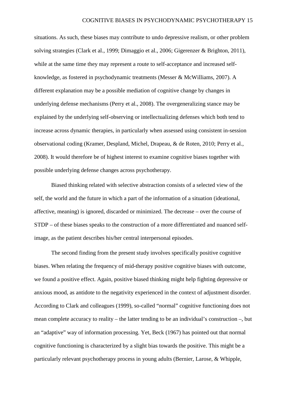situations. As such, these biases may contribute to undo depressive realism, or other problem solving strategies (Clark et al., 1999; Dimaggio et al., 2006; Gigerenzer & Brighton, 2011), while at the same time they may represent a route to self-acceptance and increased selfknowledge, as fostered in psychodynamic treatments (Messer & McWilliams, 2007). A different explanation may be a possible mediation of cognitive change by changes in underlying defense mechanisms (Perry et al., 2008). The overgeneralizing stance may be explained by the underlying self-observing or intellectualizing defenses which both tend to increase across dynamic therapies, in particularly when assessed using consistent in-session observational coding (Kramer, Despland, Michel, Drapeau, & de Roten, 2010; Perry et al., 2008). It would therefore be of highest interest to examine cognitive biases together with possible underlying defense changes across psychotherapy.

Biased thinking related with selective abstraction consists of a selected view of the self, the world and the future in which a part of the information of a situation (ideational, affective, meaning) is ignored, discarded or minimized. The decrease – over the course of STDP – of these biases speaks to the construction of a more differentiated and nuanced selfimage, as the patient describes his/her central interpersonal episodes.

The second finding from the present study involves specifically positive cognitive biases. When relating the frequency of mid-therapy positive cognitive biases with outcome, we found a positive effect. Again, positive biased thinking might help fighting depressive or anxious mood, as antidote to the negativity experienced in the context of adjustment disorder. According to Clark and colleagues (1999), so-called "normal" cognitive functioning does not mean complete accuracy to reality – the latter tending to be an individual's construction –, but an "adaptive" way of information processing. Yet, Beck (1967) has pointed out that normal cognitive functioning is characterized by a slight bias towards the positive. This might be a particularly relevant psychotherapy process in young adults (Bernier, Larose, & Whipple,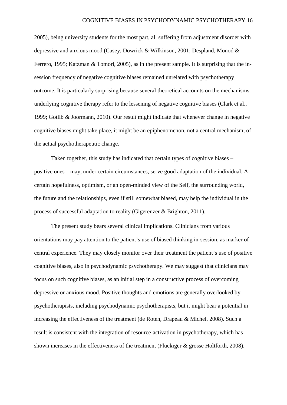2005), being university students for the most part, all suffering from adjustment disorder with depressive and anxious mood (Casey, Dowrick & Wilkinson, 2001; Despland, Monod & Ferrero, 1995; Katzman & Tomori, 2005), as in the present sample. It is surprising that the insession frequency of negative cognitive biases remained unrelated with psychotherapy outcome. It is particularly surprising because several theoretical accounts on the mechanisms underlying cognitive therapy refer to the lessening of negative cognitive biases (Clark et al., 1999; Gotlib & Joormann, 2010). Our result might indicate that whenever change in negative cognitive biases might take place, it might be an epiphenomenon, not a central mechanism, of the actual psychotherapeutic change.

Taken together, this study has indicated that certain types of cognitive biases – positive ones – may, under certain circumstances, serve good adaptation of the individual. A certain hopefulness, optimism, or an open-minded view of the Self, the surrounding world, the future and the relationships, even if still somewhat biased, may help the individual in the process of successful adaptation to reality (Gigerenzer & Brighton, 2011).

The present study bears several clinical implications. Clinicians from various orientations may pay attention to the patient's use of biased thinking in-session, as marker of central experience. They may closely monitor over their treatment the patient's use of positive cognitive biases, also in psychodynamic psychotherapy. We may suggest that clinicians may focus on such cognitive biases, as an initial step in a constructive process of overcoming depressive or anxious mood. Positive thoughts and emotions are generally overlooked by psychotherapists, including psychodynamic psychotherapists, but it might bear a potential in increasing the effectiveness of the treatment (de Roten, Drapeau & Michel, 2008). Such a result is consistent with the integration of resource-activation in psychotherapy, which has shown increases in the effectiveness of the treatment (Flückiger & grosse Holtforth, 2008).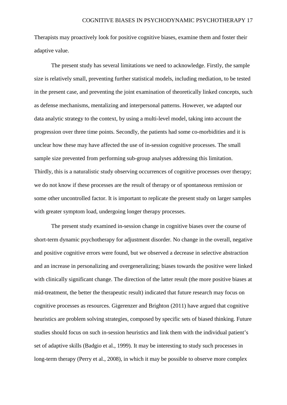Therapists may proactively look for positive cognitive biases, examine them and foster their adaptive value.

The present study has several limitations we need to acknowledge. Firstly, the sample size is relatively small, preventing further statistical models, including mediation, to be tested in the present case, and preventing the joint examination of theoretically linked concepts, such as defense mechanisms, mentalizing and interpersonal patterns. However, we adapted our data analytic strategy to the context, by using a multi-level model, taking into account the progression over three time points. Secondly, the patients had some co-morbidities and it is unclear how these may have affected the use of in-session cognitive processes. The small sample size prevented from performing sub-group analyses addressing this limitation. Thirdly, this is a naturalistic study observing occurrences of cognitive processes over therapy; we do not know if these processes are the result of therapy or of spontaneous remission or some other uncontrolled factor. It is important to replicate the present study on larger samples with greater symptom load, undergoing longer therapy processes.

The present study examined in-session change in cognitive biases over the course of short-term dynamic psychotherapy for adjustment disorder. No change in the overall, negative and positive cognitive errors were found, but we observed a decrease in selective abstraction and an increase in personalizing and overgeneralizing; biases towards the positive were linked with clinically significant change. The direction of the latter result (the more positive biases at mid-treatment, the better the therapeutic result) indicated that future research may focus on cognitive processes as resources. Gigerenzer and Brighton (2011) have argued that cognitive heuristics are problem solving strategies, composed by specific sets of biased thinking. Future studies should focus on such in-session heuristics and link them with the individual patient's set of adaptive skills (Badgio et al., 1999). It may be interesting to study such processes in long-term therapy (Perry et al., 2008), in which it may be possible to observe more complex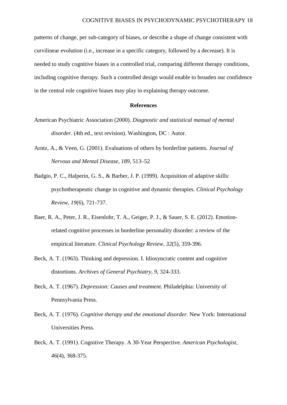patterns of change, per sub-category of biases, or describe a shape of change consistent with curvilinear evolution (i.e., increase in a specific category, followed by a decrease). It is needed to study cognitive biases in a controlled trial, comparing different therapy conditions, including cognitive therapy. Such a controlled design would enable to broaden our confidence in the central role cognitive biases may play in explaining therapy outcome.

#### **References**

- American Psychiatric Association (2000). *Diagnostic and statistical manual of mental disorder*. (4th ed., text revision). Washington, DC : Autor.
- Arntz, A., & Veen, G. (2001). Evaluations of others by borderline patients. *Journal of Nervous and Mental Disease, 189*, 513–52
- Badgio, P. C., Halperin, G. S., & Barber, J. P. (1999). Acquisition of adaptive skills: psychotherapeutic change in cognitive and dynamic therapies. *Clinical Psychology Review, 19*(6), 721-737.
- Baer, R. A., Peter, J. R., Eisenlohr, T. A., Geiger, P. J., & Sauer, S. E. (2012). Emotionrelated cognitive processes in borderline personality disorder: a review of the empirical literature. *Clinical Psychology Review, 32*(5), 359-396.
- Beck, A. T. (1963). Thinking and depression. I. Idiosyncratic content and cognitive distortions. *Archives of General Psychiatry, 9*, 324-333.
- Beck, A. T. (1967). *Depression: Causes and treatment.* Philadelphia: University of Pennsylvania Press.
- Beck, A. T. (1976). *Cognitive therapy and the emotional disorder.* New York: International Universities Press.
- Beck, A. T. (1991). Cognitive Therapy. A 30-Year Perspective. *American Psychologist, 46*(4), 368-375.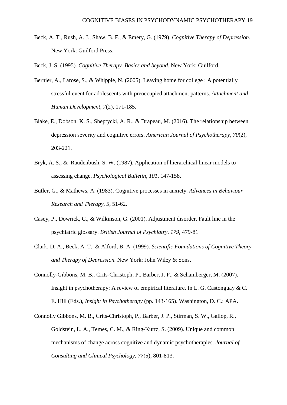- Beck, A. T., Rush, A. J., Shaw, B. F., & Emery, G. (1979). *Cognitive Therapy of Depression.* New York: Guilford Press.
- Beck, J. S. (1995). *Cognitive Therapy. Basics and beyond*. New York: Guilford.
- Bernier, A., Larose, S., & Whipple, N. (2005). Leaving home for college : A potentially stressful event for adolescents with preoccupied attachment patterns. *Attachment and Human Development, 7*(2), 171-185.
- Blake, E., Dobson, K. S., Sheptycki, A. R., & Drapeau, M. (2016). The relationship between depression severity and cognitive errors. *American Journal of Psychotherapy, 70*(2), 203-221.
- Bryk, A. S., & Raudenbush, S. W. (1987). Application of hierarchical linear models to assessing change. *Psychological Bulletin, 101,* 147-158.
- Butler, G., & Mathews, A. (1983). Cognitive processes in anxiety. *Advances in Behaviour Research and Therapy, 5*, 51-62.
- Casey, P., Dowrick, C., & Wilkinson, G. (2001). Adjustment disorder. Fault line in the psychiatric glossary. *British Journal of Psychiatry, 179*, 479-81
- Clark, D. A., Beck, A. T., & Alford, B. A. (1999). *Scientific Foundations of Cognitive Theory and Therapy of Depression.* New York: John Wiley & Sons.
- Connolly-Gibbons, M. B., Crits-Christoph, P., Barber, J. P., & Schamberger, M. (2007). Insight in psychotherapy: A review of empirical literature. In L. G. Castonguay & C. E. Hill (Eds.), *Insight in Psychotherapy* (pp. 143-165). Washington, D. C.: APA.
- Connolly Gibbons, M. B., Crits-Christoph, P., Barber, J. P., Stirman, S. W., Gallop, R., Goldstein, L. A., Temes, C. M., & Ring-Kurtz, S. (2009). Unique and common mechanisms of change across cognitive and dynamic psychotherapies. *Journal of Consulting and Clinical Psychology, 77*(5), 801-813.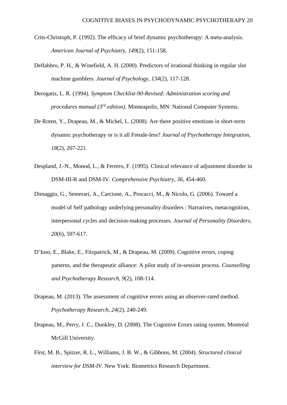- Crits-Christoph, P. (1992). The efficacy of brief dynamic psychotherapy: A meta-analysis. *American Journal of Psychiatry, 149*(2), 151-158.
- Delfabbro, P. H., & Winefield, A. H. (2000). Predictors of irrational thinking in regular slot machine gamblers. *Journal of Psychology, 134*(2), 117-128.
- Derogatis, L. R. (1994). *Symptom Checklist-90-Revised: Administration scoring and procedures manual (3rd edition).* Minneapolis, MN: National Computer Systems.
- De Roten, Y., Drapeau, M., & Michel, L. (2008). Are there positive emotions in short-term dynamic psychotherapy or is it all Freude-less? *Journal of Psychotherapy Integration, 18*(2), 207-221.
- Despland, J.-N., Monod, L., & Ferrero, F. (1995). Clinical relevance of adjustment disorder in DSM-III-R and DSM-IV. *Comprehensive Psychiatry, 36*, 454-460.
- Dimaggio, G., Semerari, A., Carcione, A., Procacci, M., & Nicolo, G. (2006). Toward a model of Self pathology underlying personality disorders : Narratives, metacognition, interpersonal cycles and decision-making processes. *Journal of Personality Disorders, 20*(6), 597-617.
- D'Iuso, E., Blake, E., Fitzpatrick, M., & Drapeau, M. (2009). Cognitive errors, coping patterns, and the therapeutic alliance: A pilot study of in-session process. *Counselling and Psychotherapy Research, 9*(2), 108-114.
- Drapeau, M. (2013). The assessment of cognitive errors using an observer-rated method. *Psychotherapy Research, 24*(2), 240-249.
- Drapeau, M., Perry, J. C., Dunkley, D. (2008). The Cognitive Errors rating system. Montréal McGill University.
- First, M. B., Spitzer, R. L., Williams, J. B. W., & Gibbons, M. (2004). *Structured clinical interview for DSM-IV*. New York: Biometrics Research Department.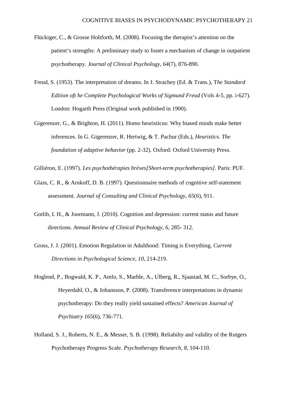- Flückiger, C., & Grosse Holtforth, M. (2008). Focusing the therapist's attention on the patient's strengths: A preliminary study to foster a mechanism of change in outpatient psychotherapy. *Journal of Clinical Psychology, 64*(7), 876-890.
- Freud, S. (1953). The interpretation of dreams. In J. Strachey (Ed. & Trans.), T*he Standard Edition oft he Complete Psychological Works of Sigmund Freud* (Vols 4-5, pp. i-627). London: Hogarth Press (Original work published in 1900).
- Gigerenzer, G., & Brighton, H. (2011). Homo heuristicus: Why biased minds make better inferences. In G. Gigerenzer, R. Hertwig, & T. Pachur (Eds.), *Heuristics. The foundation of adaptive behavior* (pp. 2-32). Oxford: Oxford University Press.
- Gilliéron, E. (1997). *Les psychothérapies brèves[Short-term psychotherapies].* Paris: PUF.
- Glass, C. R., & Arnkoff, D. B. (1997). Questionnaire methods of cognitive self-statement assessment. *Journal of Consulting and Clinical Psychology*, *65*(6), 911.
- Gotlib, I. H., & Joormann, J. (2010). Cognition and depression: current status and future directions. *Annual Review of Clinical Psychology, 6,* 285- 312.
- Gross, J. J. (2001). Emotion Regulation in Adulthood: Timing is Everything. *Current Directions in Psychological Science, 10,* 214-219.
- Hoglend, P., Bogwald, K. P., Amlo, S., Marble, A., Ulberg, R., Sjaastad, M. C., Sorbye, O., Heyerdahl, O., & Johansson, P. (2008). Transference interpretations in dynamic psychotherapy: Do they really yield sustained effects? *American Journal of Psychiatry 165*(6), 736-771.
- Holland, S. J., Roberts, N. E., & Messer, S. B. (1998). Reliabilty and validity of the Rutgers Psychotherapy Progress Scale. *Psychotherapy Research, 8*, 104-110.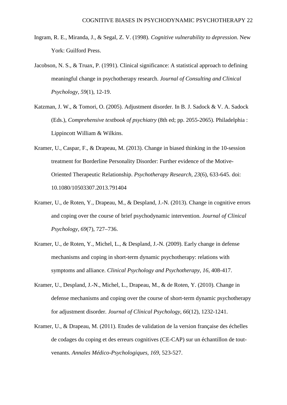- Ingram, R. E., Miranda, J., & Segal, Z. V. (1998). *Cognitive vulnerability to depression*. New York: Guilford Press.
- Jacobson, N. S., & Truax, P. (1991). Clinical significance: A statistical approach to defining meaningful change in psychotherapy research. *Journal of Consulting and Clinical Psychology, 59*(1), 12-19.
- Katzman, J. W., & Tomori, O. (2005). Adjustment disorder. In B. J. Sadock & V. A. Sadock (Eds.), *Comprehensive textbook of psychiatry* (8th ed; pp. 2055-2065). Philadelphia : Lippincott William & Wilkins.
- Kramer, U., Caspar, F., & Drapeau, M. (2013). Change in biased thinking in the 10-session treatment for Borderline Personality Disorder: Further evidence of the Motive-Oriented Therapeutic Relationship. *Psychotherapy Research, 23*(6), 633-645. doi: 10.1080/10503307.2013.791404
- Kramer, U., de Roten, Y., Drapeau, M., & Despland, J.-N. (2013). Change in cognitive errors and coping over the course of brief psychodynamic intervention. *Journal of Clinical Psychology, 69*(7), 727–736.
- Kramer, U., de Roten, Y., Michel, L., & Despland, J.-N. (2009). Early change in defense mechanisms and coping in short-term dynamic psychotherapy: relations with symptoms and alliance. *Clinical Psychology and Psychotherapy, 16*, 408-417.
- Kramer, U., Despland, J.-N., Michel, L., Drapeau, M., & de Roten, Y. (2010). Change in defense mechanisms and coping over the course of short-term dynamic psychotherapy for adjustment disorder. *Journal of Clinical Psychology, 66*(12), 1232-1241.
- Kramer, U., & Drapeau, M. (2011). Etudes de validation de la version française des échelles de codages du coping et des erreurs cognitives (CE-CAP) sur un échantillon de toutvenants. *Annales Médico-Psychologiques, 169*, 523-527.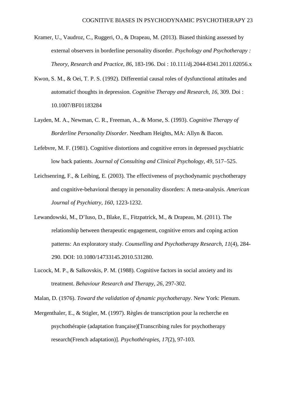- Kramer, U., Vaudroz, C., Ruggeri, O., & Drapeau, M. (2013). Biased thinking assessed by external observers in borderline personality disorder. *Psychology and Psychotherapy : Theory, Research and Practice, 86*, 183-196. Doi : 10.111/dj.2044-8341.2011.02056.x
- Kwon, S. M., & Oei, T. P. S. (1992). Differential causal roles of dysfunctional attitudes and automaticf thoughts in depression. *Cognitive Therapy and Research, 16*, 309. Doi : 10.1007/BF01183284
- Layden, M. A., Newman, C. R., Freeman, A., & Morse, S. (1993). *Cognitive Therapy of Borderline Personality Disorder*. Needham Heights, MA: Allyn & Bacon.
- Lefebvre, M. F. (1981). Cognitive distortions and cognitive errors in depressed psychiatric low back patients. *Journal of Consulting and Clinical Psychology, 49*, 517–525.
- Leichsenring, F., & Leibing, E. (2003). The effectiveness of psychodynamic psychotherapy and cognitive-behavioral therapy in personality disorders: A meta-analysis. *American Journal of Psychiatry, 160,* 1223-1232.
- Lewandowski, M., D'Iuso, D., Blake, E., Fitzpatrick, M., & Drapeau, M. (2011). The relationship between therapeutic engagement, cognitive errors and coping action patterns: An exploratory study. *Counselling and Psychotherapy Research, 11*(4), 284- 290. DOI: 10.1080/14733145.2010.531280.
- Lucock, M. P., & Salkovskis, P. M. (1988). Cognitive factors in social anxiety and its treatment. *Behaviour Research and Therapy, 26*, 297-302.

Malan, D. (1976). *Toward the validation of dynamic psychotherapy*. New York: Plenum.

Mergenthaler, E., & Stigler, M. (1997). Règles de transcription pour la recherche en psychothérapie (adaptation française)[Transcribing rules for psychotherapy research(French adaptation)]. *Psychothérapies, 17*(2), 97-103.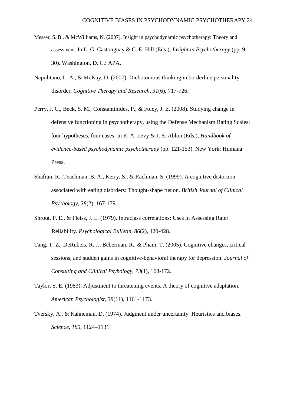- Messer, S. B., & McWilliams, N. (2007). Insight in psychodynamic psychotherapy: Theory and assessment. In L. G. Castonguay & C. E. Hill (Eds.), *Insight in Psychotherapy* (pp. 9- 30). Washington, D. C.: APA.
- Napolitano, L. A., & McKay, D. (2007). Dichotomous thinking in borderline personality disorder. *Cognitive Therapy and Research, 31*(6), 717-726.
- Perry, J. C., Beck, S. M., Constantinides, P., & Foley, J. E. (2008). Studying change in defensive functioning in psychotherapy, using the Defense Mechanism Rating Scales: four hypotheses, four cases. In R. A. Levy & J. S. Ablon (Eds.), *Handbook of evidence-based psychodynamic psychotherapy* (pp. 121-153). New York: Humana Press.
- Shafran, R., Teachman, B. A., Kerry, S., & Rachman, S. (1999). A cognitive distortion associated with eating disorders: Thought-shape fusion. *British Journal of Clinical Psychology, 38*(2), 167-179.
- Shrout, P. E., & Fleiss, J. L. (1979). Intraclass correlations: Uses in Assessing Rater Reliability. *Psychological Bulletin, 86*(2), 420-428.
- Tang, T. Z., DeRubeis, R. J., Beberman, R., & Pham, T. (2005). Cognitive changes, critical sessions, and sudden gains in cognitive-behavioral therapy for depression. *Journal of Consulting and Clinical Psyhology, 73*(1), 168-172.
- Taylor, S. E. (1983). Adjustment to threatening events. A theory of cognitive adaptation. *American Psychologist, 38*(11), 1161-1173.
- Tversky, A., & Kahneman, D. (1974). Judgment under uncertainty: Heuristics and biases. *Science, 185*, 1124–1131.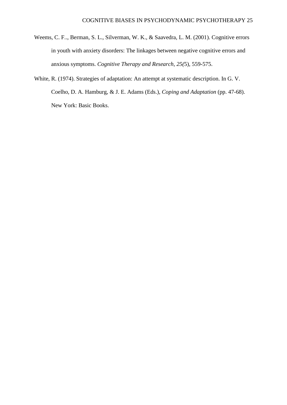- Weems, C. F.., Berman, S. L., Silverman, W. K., & Saavedra, L. M. (2001). Cognitive errors in youth with anxiety disorders: The linkages between negative cognitive errors and anxious symptoms. *Cognitive Therapy and Research, 25(*5), 559-575.
- White, R. (1974). Strategies of adaptation: An attempt at systematic description. In G. V. Coelho, D. A. Hamburg, & J. E. Adams (Eds.), *Coping and Adaptation* (pp. 47-68). New York: Basic Books.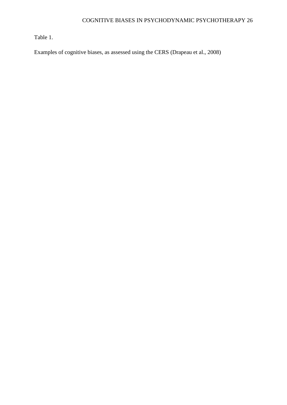Table 1.

Examples of cognitive biases, as assessed using the CERS (Drapeau et al., 2008)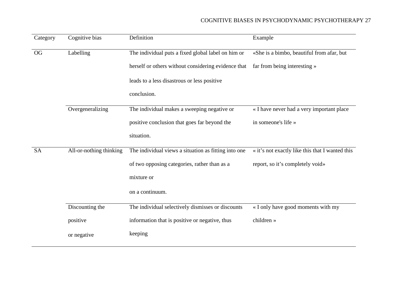| Category  | Cognitive bias          | Definition                                           | Example                                         |
|-----------|-------------------------|------------------------------------------------------|-------------------------------------------------|
| OG        | Labelling               | The individual puts a fixed global label on him or   | «She is a bimbo, beautiful from afar, but       |
|           |                         | herself or others without considering evidence that  | far from being interesting »                    |
|           |                         | leads to a less disastrous or less positive          |                                                 |
|           |                         | conclusion.                                          |                                                 |
|           | Overgeneralizing        | The individual makes a sweeping negative or          | « I have never had a very important place       |
|           |                         | positive conclusion that goes far beyond the         | in someone's life »                             |
|           |                         | situation.                                           |                                                 |
| <b>SA</b> | All-or-nothing thinking | The individual views a situation as fitting into one | « it's not exactly like this that I wanted this |
|           |                         | of two opposing categories, rather than as a         | report, so it's completely void»                |
|           |                         | mixture or                                           |                                                 |
|           |                         | on a continuum.                                      |                                                 |
|           | Discounting the         | The individual selectively dismisses or discounts    | « I only have good moments with my              |
|           | positive                | information that is positive or negative, thus       | children »                                      |
|           | or negative             | keeping                                              |                                                 |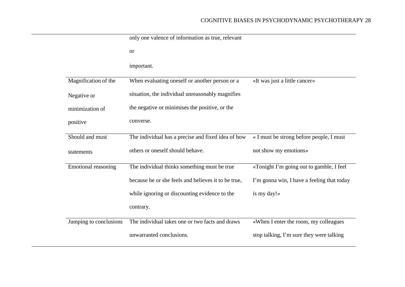|                            | only one valence of information as true, relevant   |                                            |
|----------------------------|-----------------------------------------------------|--------------------------------------------|
|                            | <b>or</b>                                           |                                            |
|                            | important.                                          |                                            |
| Magnification of the       | When evaluating oneself or another person or a      | «It was just a little cancer»              |
| Negative or                | situation, the individual unreasonably magnifies    |                                            |
| minimization of            | the negative or minimises the positive, or the      |                                            |
| positive                   | converse.                                           |                                            |
| Should and must            | The individual has a precise and fixed idea of how  | « I must be strong before people, I must   |
| statements                 | others or oneself should behave.                    | not show my emotions»                      |
| <b>Emotional reasoning</b> | The individual thinks something must be true        | «Tonight I'm going out to gamble, I feel   |
|                            | because he or she feels and believes it to be true, | I'm gonna win, I have a feeling that today |
|                            | while ignoring or discounting evidence to the       | is my day!»                                |
|                            | contrary.                                           |                                            |
| Jumping to conclusions     | The individual takes one or two facts and draws     | «When I enter the room, my colleagues      |
|                            | unwarranted conclusions.                            | stop talking, I'm sure they were talking   |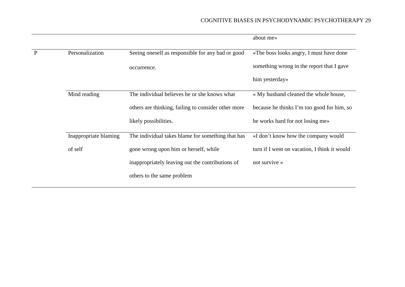# COGNITIVE BIASES IN PSYCHODYNAMIC PSYCHOTHERAPY 29

|   |                       |                                                     | about me»                                    |
|---|-----------------------|-----------------------------------------------------|----------------------------------------------|
| P | Personalization       | Seeing oneself as responsible for any bad or good   | «The boss looks angry, I must have done      |
|   |                       | occurrence.                                         | something wrong in the report that I gave    |
|   |                       |                                                     | him yesterday»                               |
|   | Mind reading          | The individual believes he or she knows what        | « My husband cleaned the whole house,        |
|   |                       | others are thinking, failing to consider other more | because he thinks I'm too good for him, so   |
|   |                       | likely possibilities.                               | he works hard for not losing me»             |
|   | Inappropriate blaming | The individual takes blame for something that has   | «I don't know how the company would          |
|   | of self               | gone wrong upon him or herself, while               | turn if I went on vacation, I think it would |
|   |                       | inappropriately leaving out the contributions of    | not survive »                                |
|   |                       | others to the same problem                          |                                              |
|   |                       |                                                     |                                              |

<u> 1980 - Johann Barn, mars eta bainar eta baina eta baina eta baina eta baina eta baina eta baina eta baina e</u>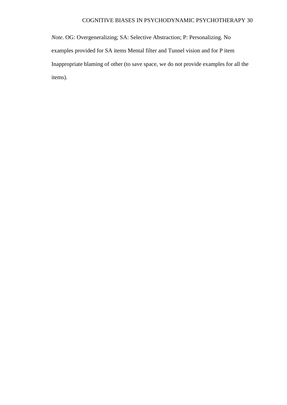# COGNITIVE BIASES IN PSYCHODYNAMIC PSYCHOTHERAPY 30

*Note*. OG: Overgeneralizing; SA: Selective Abstraction; P: Personalizing. No examples provided for SA items Mental filter and Tunnel vision and for P item Inappropriate blaming of other (to save space, we do not provide examples for all the items).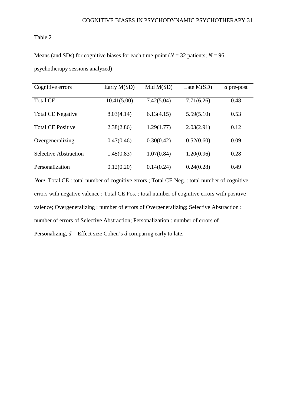# Table 2

Means (and SDs) for cognitive biases for each time-point ( $N = 32$  patients;  $N = 96$ 

psychotherapy sessions analyzed)

| Cognitive errors             | Early M(SD) | Mid M(SD)  | Late $M(SD)$ | $d$ pre-post |
|------------------------------|-------------|------------|--------------|--------------|
| <b>Total CE</b>              | 10.41(5.00) | 7.42(5.04) | 7.71(6.26)   | 0.48         |
| <b>Total CE Negative</b>     | 8.03(4.14)  | 6.13(4.15) | 5.59(5.10)   | 0.53         |
| <b>Total CE Positive</b>     | 2.38(2.86)  | 1.29(1.77) | 2.03(2.91)   | 0.12         |
| Overgeneralizing             | 0.47(0.46)  | 0.30(0.42) | 0.52(0.60)   | 0.09         |
| <b>Selective Abstraction</b> | 1.45(0.83)  | 1.07(0.84) | 1.20(0.96)   | 0.28         |
| Personalization              | 0.12(0.20)  | 0.14(0.24) | 0.24(0.28)   | 0.49         |

*Note*. Total CE : total number of cognitive errors ; Total CE Neg. : total number of cognitive errors with negative valence ; Total CE Pos. : total number of cognitive errors with positive valence; Overgeneralizing : number of errors of Overgeneralizing; Selective Abstraction : number of errors of Selective Abstraction; Personalization : number of errors of Personalizing, *d* = Effect size Cohen's *d* comparing early to late.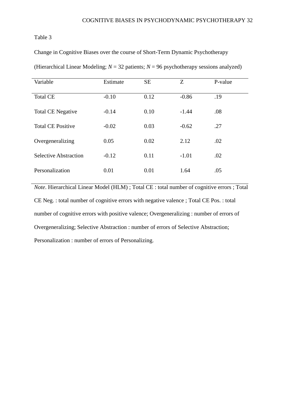# Table 3

Change in Cognitive Biases over the course of Short-Term Dynamic Psychotherapy

| Variable                     | Estimate | <b>SE</b> | Z       | P-value |
|------------------------------|----------|-----------|---------|---------|
| <b>Total CE</b>              | $-0.10$  | 0.12      | $-0.86$ | .19     |
| <b>Total CE Negative</b>     | $-0.14$  | 0.10      | $-1.44$ | .08     |
| <b>Total CE Positive</b>     | $-0.02$  | 0.03      | $-0.62$ | .27     |
| Overgeneralizing             | 0.05     | 0.02      | 2.12    | .02     |
| <b>Selective Abstraction</b> | $-0.12$  | 0.11      | $-1.01$ | .02     |
| Personalization              | 0.01     | 0.01      | 1.64    | .05     |

(Hierarchical Linear Modeling;  $N = 32$  patients;  $N = 96$  psychotherapy sessions analyzed)

*Note*. Hierarchical Linear Model (HLM) ; Total CE : total number of cognitive errors ; Total CE Neg. : total number of cognitive errors with negative valence ; Total CE Pos. : total number of cognitive errors with positive valence; Overgeneralizing : number of errors of Overgeneralizing; Selective Abstraction : number of errors of Selective Abstraction; Personalization : number of errors of Personalizing.